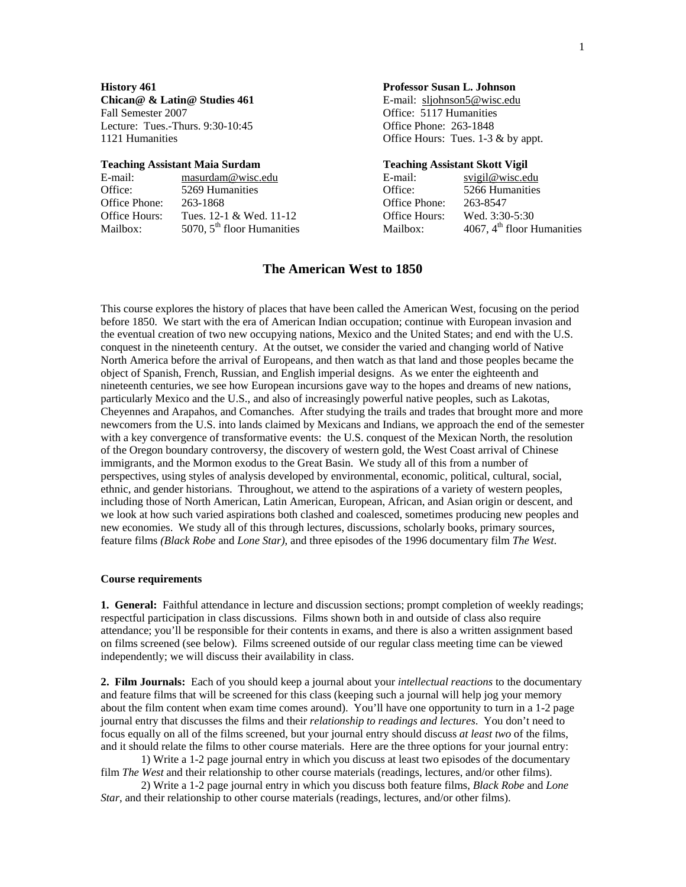**Chican@ & Latin@ Studies 461** E-mail: sljohnson5@wisc.edu Fall Semester 2007 Office: 5117 Humanities Lecture: Tues.-Thurs. 9:30-10:45 Office Phone: 263-1848 1121 Humanities **Office Hours:** Tues. 1-3 & by appt.

## **Teaching Assistant Maia Surdam Teaching Assistant Skott Vigil**

| E-mail:       | masurdam@wisc.edu            | E-mail:       | svigil@wisc.edu              |
|---------------|------------------------------|---------------|------------------------------|
| Office:       | 5269 Humanities              | Office:       | 5266 Humanities              |
| Office Phone: | 263-1868                     | Office Phone: | 263-8547                     |
| Office Hours: | Tues. $12-1$ & Wed. $11-12$  | Office Hours: | Wed. 3:30-5:30               |
| Mailbox:      | 5070, $5th$ floor Humanities | Mailbox:      | 4067, $4th$ floor Humanities |

## **History 461 Professor Susan L. Johnson**

| svigil@wisc.edu              |
|------------------------------|
| 5266 Humanities              |
| 263-8547                     |
| Wed. 3:30-5:30               |
| 4067, $4th$ floor Humanities |
|                              |

## **The American West to 1850**

This course explores the history of places that have been called the American West, focusing on the period before 1850. We start with the era of American Indian occupation; continue with European invasion and the eventual creation of two new occupying nations, Mexico and the United States; and end with the U.S. conquest in the nineteenth century. At the outset, we consider the varied and changing world of Native North America before the arrival of Europeans, and then watch as that land and those peoples became the object of Spanish, French, Russian, and English imperial designs. As we enter the eighteenth and nineteenth centuries, we see how European incursions gave way to the hopes and dreams of new nations, particularly Mexico and the U.S., and also of increasingly powerful native peoples, such as Lakotas, Cheyennes and Arapahos, and Comanches. After studying the trails and trades that brought more and more newcomers from the U.S. into lands claimed by Mexicans and Indians, we approach the end of the semester with a key convergence of transformative events: the U.S. conquest of the Mexican North, the resolution of the Oregon boundary controversy, the discovery of western gold, the West Coast arrival of Chinese immigrants, and the Mormon exodus to the Great Basin. We study all of this from a number of perspectives, using styles of analysis developed by environmental, economic, political, cultural, social, ethnic, and gender historians. Throughout, we attend to the aspirations of a variety of western peoples, including those of North American, Latin American, European, African, and Asian origin or descent, and we look at how such varied aspirations both clashed and coalesced, sometimes producing new peoples and new economies. We study all of this through lectures, discussions, scholarly books, primary sources, feature films *(Black Robe* and *Lone Star)*, and three episodes of the 1996 documentary film *The West*.

## **Course requirements**

**1. General:** Faithful attendance in lecture and discussion sections; prompt completion of weekly readings; respectful participation in class discussions. Films shown both in and outside of class also require attendance; you'll be responsible for their contents in exams, and there is also a written assignment based on films screened (see below). Films screened outside of our regular class meeting time can be viewed independently; we will discuss their availability in class.

**2. Film Journals:** Each of you should keep a journal about your *intellectual reactions* to the documentary and feature films that will be screened for this class (keeping such a journal will help jog your memory about the film content when exam time comes around). You'll have one opportunity to turn in a 1-2 page journal entry that discusses the films and their *relationship to readings and lectures*. You don't need to focus equally on all of the films screened, but your journal entry should discuss *at least two* of the films, and it should relate the films to other course materials. Here are the three options for your journal entry:

1) Write a 1-2 page journal entry in which you discuss at least two episodes of the documentary film *The West* and their relationship to other course materials (readings, lectures, and/or other films).

2) Write a 1-2 page journal entry in which you discuss both feature films, *Black Robe* and *Lone Star*, and their relationship to other course materials (readings, lectures, and/or other films).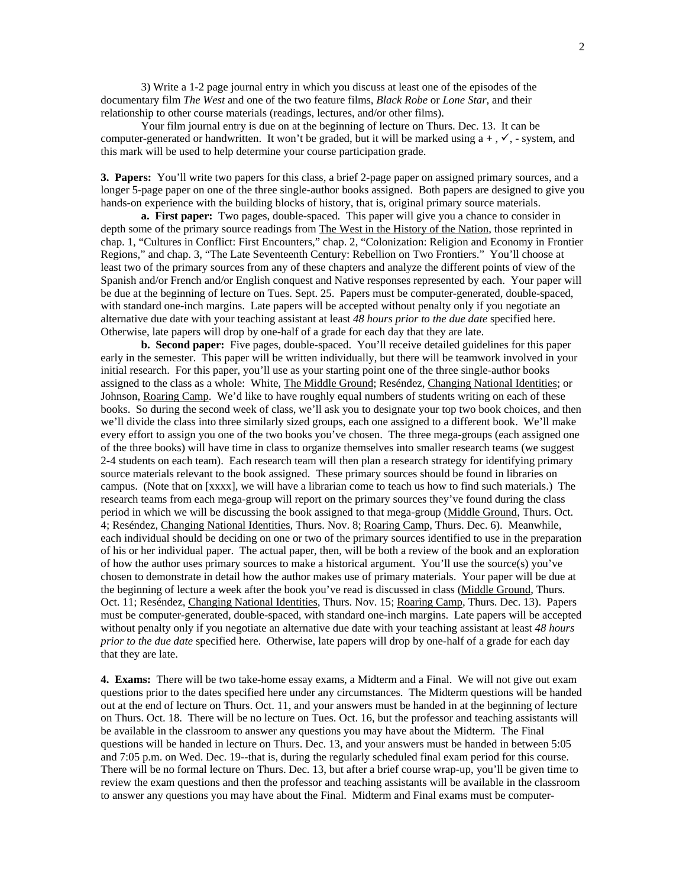3) Write a 1-2 page journal entry in which you discuss at least one of the episodes of the documentary film *The West* and one of the two feature films, *Black Robe* or *Lone Star,* and their relationship to other course materials (readings, lectures, and/or other films).

Your film journal entry is due on at the beginning of lecture on Thurs. Dec. 13.It can be computer-generated or handwritten. It won't be graded, but it will be marked using  $a +$ ,  $\checkmark$ ,  $\checkmark$ , system, and this mark will be used to help determine your course participation grade.

**3. Papers:** You'll write two papers for this class, a brief 2-page paper on assigned primary sources, and a longer 5-page paper on one of the three single-author books assigned. Both papers are designed to give you hands-on experience with the building blocks of history, that is, original primary source materials.

**a. First paper:** Two pages, double-spaced. This paper will give you a chance to consider in depth some of the primary source readings from The West in the History of the Nation, those reprinted in chap. 1, "Cultures in Conflict: First Encounters," chap. 2, "Colonization: Religion and Economy in Frontier Regions," and chap. 3, "The Late Seventeenth Century: Rebellion on Two Frontiers." You'll choose at least two of the primary sources from any of these chapters and analyze the different points of view of the Spanish and/or French and/or English conquest and Native responses represented by each. Your paper will be due at the beginning of lecture on Tues. Sept. 25.Papers must be computer-generated, double-spaced, with standard one-inch margins. Late papers will be accepted without penalty only if you negotiate an alternative due date with your teaching assistant at least *48 hours prior to the due date* specified here. Otherwise, late papers will drop by one-half of a grade for each day that they are late.

**b. Second paper:** Five pages, double-spaced. You'll receive detailed guidelines for this paper early in the semester. This paper will be written individually, but there will be teamwork involved in your initial research. For this paper, you'll use as your starting point one of the three single-author books assigned to the class as a whole: White, The Middle Ground; Reséndez, Changing National Identities; or Johnson, Roaring Camp. We'd like to have roughly equal numbers of students writing on each of these books. So during the second week of class, we'll ask you to designate your top two book choices, and then we'll divide the class into three similarly sized groups, each one assigned to a different book. We'll make every effort to assign you one of the two books you've chosen. The three mega-groups (each assigned one of the three books) will have time in class to organize themselves into smaller research teams (we suggest 2-4 students on each team). Each research team will then plan a research strategy for identifying primary source materials relevant to the book assigned. These primary sources should be found in libraries on campus. (Note that on [xxxx], we will have a librarian come to teach us how to find such materials.) The research teams from each mega-group will report on the primary sources they've found during the class period in which we will be discussing the book assigned to that mega-group (Middle Ground, Thurs. Oct. 4; Reséndez, Changing National Identities, Thurs. Nov. 8; Roaring Camp, Thurs. Dec. 6). Meanwhile, each individual should be deciding on one or two of the primary sources identified to use in the preparation of his or her individual paper. The actual paper, then, will be both a review of the book and an exploration of how the author uses primary sources to make a historical argument. You'll use the source(s) you've chosen to demonstrate in detail how the author makes use of primary materials. Your paper will be due at the beginning of lecture a week after the book you've read is discussed in class (Middle Ground, Thurs. Oct. 11; Reséndez, Changing National Identities, Thurs. Nov. 15; Roaring Camp, Thurs. Dec. 13). Papers must be computer-generated, double-spaced, with standard one-inch margins. Late papers will be accepted without penalty only if you negotiate an alternative due date with your teaching assistant at least *48 hours prior to the due date* specified here. Otherwise, late papers will drop by one-half of a grade for each day that they are late.

**4. Exams:** There will be two take-home essay exams, a Midterm and a Final. We will not give out exam questions prior to the dates specified here under any circumstances. The Midterm questions will be handed out at the end of lecture on Thurs. Oct. 11, and your answers must be handed in at the beginning of lecture on Thurs. Oct. 18. There will be no lecture on Tues. Oct. 16, but the professor and teaching assistants will be available in the classroom to answer any questions you may have about the Midterm. The Final questions will be handed in lecture on Thurs. Dec. 13, and your answers must be handed in between 5:05 and 7:05 p.m. on Wed. Dec. 19--that is, during the regularly scheduled final exam period for this course. There will be no formal lecture on Thurs. Dec. 13, but after a brief course wrap-up, you'll be given time to review the exam questions and then the professor and teaching assistants will be available in the classroom to answer any questions you may have about the Final. Midterm and Final exams must be computer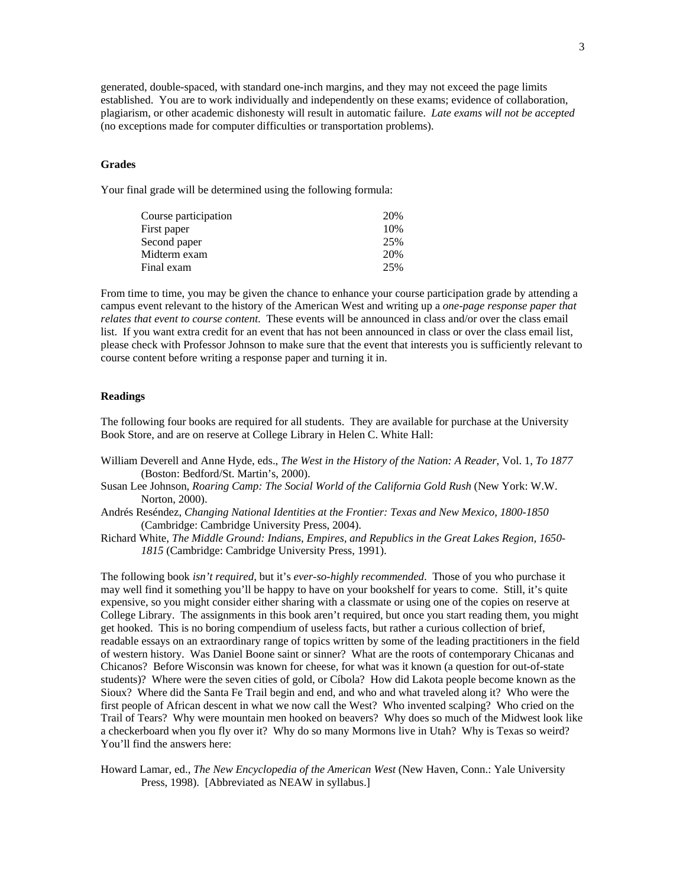generated, double-spaced, with standard one-inch margins, and they may not exceed the page limits established. You are to work individually and independently on these exams; evidence of collaboration, plagiarism, or other academic dishonesty will result in automatic failure. *Late exams will not be accepted* (no exceptions made for computer difficulties or transportation problems).

#### **Grades**

Your final grade will be determined using the following formula:

| 20% |
|-----|
| 10% |
| 25% |
| 20% |
| 25% |
|     |

From time to time, you may be given the chance to enhance your course participation grade by attending a campus event relevant to the history of the American West and writing up a *one-page response paper that relates that event to course content*. These events will be announced in class and/or over the class email list. If you want extra credit for an event that has not been announced in class or over the class email list, please check with Professor Johnson to make sure that the event that interests you is sufficiently relevant to course content before writing a response paper and turning it in.

## **Readings**

The following four books are required for all students. They are available for purchase at the University Book Store, and are on reserve at College Library in Helen C. White Hall:

- William Deverell and Anne Hyde, eds., *The West in the History of the Nation: A Reader*, Vol. 1, *To 1877* (Boston: Bedford/St. Martin's, 2000).
- Susan Lee Johnson, *Roaring Camp: The Social World of the California Gold Rush* (New York: W.W. Norton, 2000).
- Andrés Reséndez, *Changing National Identities at the Frontier: Texas and New Mexico, 1800-1850* (Cambridge: Cambridge University Press, 2004).
- Richard White, *The Middle Ground: Indians, Empires, and Republics in the Great Lakes Region, 1650- 1815* (Cambridge: Cambridge University Press, 1991).

The following book *isn't required*, but it's *ever-so-highly recommended*. Those of you who purchase it may well find it something you'll be happy to have on your bookshelf for years to come. Still, it's quite expensive, so you might consider either sharing with a classmate or using one of the copies on reserve at College Library. The assignments in this book aren't required, but once you start reading them, you might get hooked. This is no boring compendium of useless facts, but rather a curious collection of brief, readable essays on an extraordinary range of topics written by some of the leading practitioners in the field of western history. Was Daniel Boone saint or sinner? What are the roots of contemporary Chicanas and Chicanos? Before Wisconsin was known for cheese, for what was it known (a question for out-of-state students)? Where were the seven cities of gold, or Cíbola? How did Lakota people become known as the Sioux? Where did the Santa Fe Trail begin and end, and who and what traveled along it? Who were the first people of African descent in what we now call the West? Who invented scalping? Who cried on the Trail of Tears? Why were mountain men hooked on beavers? Why does so much of the Midwest look like a checkerboard when you fly over it? Why do so many Mormons live in Utah? Why is Texas so weird? You'll find the answers here:

Howard Lamar, ed., *The New Encyclopedia of the American West* (New Haven, Conn.: Yale University Press, 1998). [Abbreviated as NEAW in syllabus.]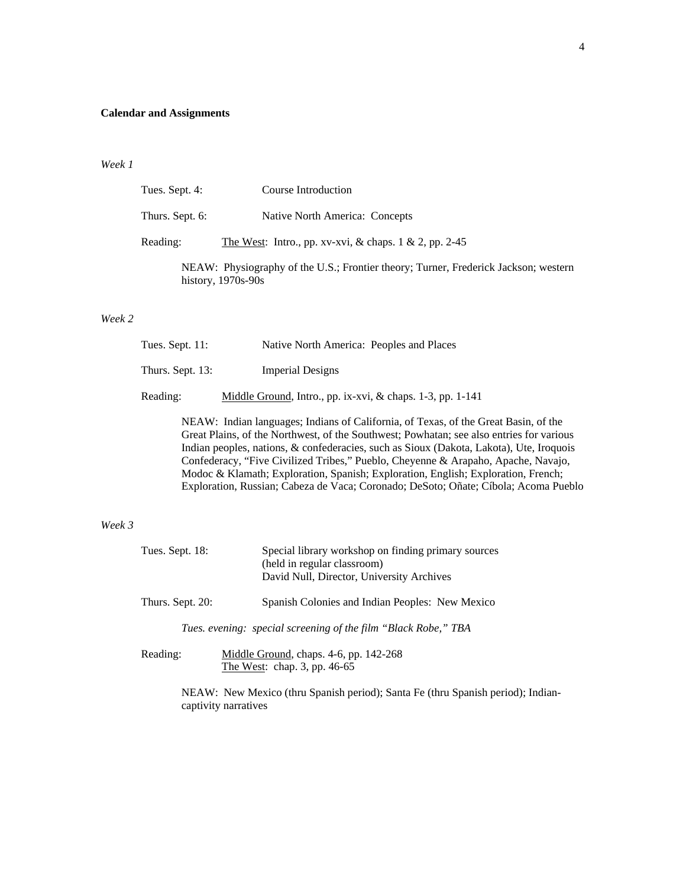## **Calendar and Assignments**

## *Week 1*

| Tues. Sept. 4:  | Course Introduction                                                                                         |
|-----------------|-------------------------------------------------------------------------------------------------------------|
| Thurs. Sept. 6: | Native North America: Concepts                                                                              |
| Reading:        | The West: Intro., pp. xv-xvi, & chaps. $1 \& 2$ , pp. 2-45                                                  |
|                 | NEAW: Physiography of the U.S.; Frontier theory; Turner, Frederick Jackson; western<br>history, $1970s-90s$ |

#### *Week 2*

| Tues. Sept. 11:  | Native North America: Peoples and Places                   |
|------------------|------------------------------------------------------------|
| Thurs. Sept. 13: | <b>Imperial Designs</b>                                    |
| Reading:         | Middle Ground, Intro., pp. ix-xvi, & chaps. 1-3, pp. 1-141 |
|                  | NEW THIS THE COLLECT CAO                                   |

NEAW: Indian languages; Indians of California, of Texas, of the Great Basin, of the Great Plains, of the Northwest, of the Southwest; Powhatan; see also entries for various Indian peoples, nations, & confederacies, such as Sioux (Dakota, Lakota), Ute, Iroquois Confederacy, "Five Civilized Tribes," Pueblo, Cheyenne & Arapaho, Apache, Navajo, Modoc & Klamath; Exploration, Spanish; Exploration, English; Exploration, French; Exploration, Russian; Cabeza de Vaca; Coronado; DeSoto; Oñate; Cíbola; Acoma Pueblo

## *Week 3*

| Tues. Sept. 18:  | Special library workshop on finding primary sources<br>(held in regular classroom)<br>David Null, Director, University Archives |
|------------------|---------------------------------------------------------------------------------------------------------------------------------|
| Thurs. Sept. 20: | Spanish Colonies and Indian Peoples: New Mexico                                                                                 |
|                  | Tues. evening: special screening of the film "Black Robe," TBA                                                                  |
| Reading:         | Middle Ground, chaps. 4-6, pp. 142-268                                                                                          |

The West: chap. 3, pp. 46-65

NEAW: New Mexico (thru Spanish period); Santa Fe (thru Spanish period); Indiancaptivity narratives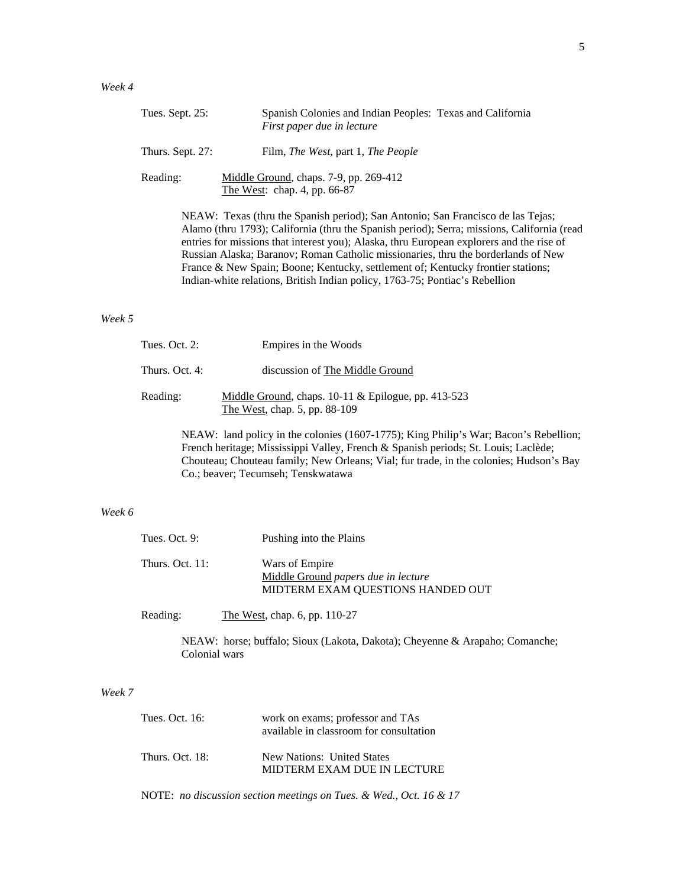| Tues. Sept. 25:  | Spanish Colonies and Indian Peoples: Texas and California<br>First paper due in lecture                                                                                                                                                                                                                     |
|------------------|-------------------------------------------------------------------------------------------------------------------------------------------------------------------------------------------------------------------------------------------------------------------------------------------------------------|
| Thurs. Sept. 27: | Film, <i>The West</i> , part 1, <i>The People</i>                                                                                                                                                                                                                                                           |
| Reading:         | Middle Ground, chaps. 7-9, pp. 269-412<br>The West: chap. 4, pp. 66-87                                                                                                                                                                                                                                      |
|                  | NEAW: Texas (thru the Spanish period); San Antonio; San Francisco de las Tejas;<br>Alamo (thru 1793); California (thru the Spanish period); Serra; missions, California<br>. In the contract of the state of the state $\Lambda$ . Also the contract $\mathbf{E}$ is a second contract of $A$ is a state of |

Alamo (thru 1793); California (thru the Spanish period); Serra; missions, California (read entries for missions that interest you); Alaska, thru European explorers and the rise of Russian Alaska; Baranov; Roman Catholic missionaries, thru the borderlands of New France & New Spain; Boone; Kentucky, settlement of; Kentucky frontier stations; Indian-white relations, British Indian policy, 1763-75; Pontiac's Rebellion

## *Week 5*

| Tues. Oct. 2:  | Empires in the Woods                                                                   |
|----------------|----------------------------------------------------------------------------------------|
| Thurs. Oct. 4: | discussion of The Middle Ground                                                        |
| Reading:       | Middle Ground, chaps. $10-11$ & Epilogue, pp. 413-523<br>The West, chap. 5, pp. 88-109 |
|                |                                                                                        |

NEAW: land policy in the colonies (1607-1775); King Philip's War; Bacon's Rebellion; French heritage; Mississippi Valley, French & Spanish periods; St. Louis; Laclède; Chouteau; Chouteau family; New Orleans; Vial; fur trade, in the colonies; Hudson's Bay Co.; beaver; Tecumseh; Tenskwatawa

## *Week 6*

| Tues. Oct. $9:$    | Pushing into the Plains                                                                    |
|--------------------|--------------------------------------------------------------------------------------------|
| Thurs. Oct. $11$ : | Wars of Empire<br>Middle Ground papers due in lecture<br>MIDTERM EXAM QUESTIONS HANDED OUT |

Reading: The West, chap. 6, pp. 110-27

NEAW: horse; buffalo; Sioux (Lakota, Dakota); Cheyenne & Arapaho; Comanche; Colonial wars

## *Week 7*

| Tues. Oct. 16:  | work on exams; professor and TAs<br>available in classroom for consultation |
|-----------------|-----------------------------------------------------------------------------|
| Thurs. Oct. 18: | New Nations: United States<br>MIDTERM EXAM DUE IN LECTURE                   |

NOTE: *no discussion section meetings on Tues. & Wed., Oct. 16 & 17*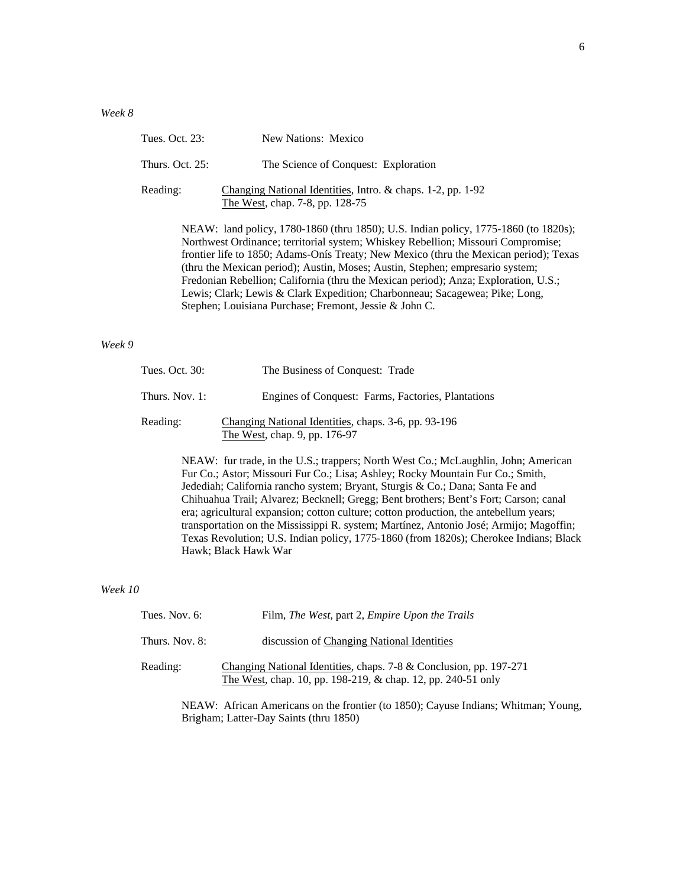| Tues. Oct. 23:                                                                                                                                                                                                                                                                                                                                                                                                                                                                                                                                                                    | New Nations: Mexico                                                                            |
|-----------------------------------------------------------------------------------------------------------------------------------------------------------------------------------------------------------------------------------------------------------------------------------------------------------------------------------------------------------------------------------------------------------------------------------------------------------------------------------------------------------------------------------------------------------------------------------|------------------------------------------------------------------------------------------------|
| Thurs. Oct. $25$ :                                                                                                                                                                                                                                                                                                                                                                                                                                                                                                                                                                | The Science of Conquest: Exploration                                                           |
| Reading:                                                                                                                                                                                                                                                                                                                                                                                                                                                                                                                                                                          | Changing National Identities, Intro. & chaps. 1-2, pp. 1-92<br>The West, chap. 7-8, pp. 128-75 |
| NEAW: land policy, 1780-1860 (thru 1850); U.S. Indian policy, 1775-1860 (to 1820s);<br>Northwest Ordinance; territorial system; Whiskey Rebellion; Missouri Compromise;<br>frontier life to 1850; Adams-Onís Treaty; New Mexico (thru the Mexican period); Texas<br>(thru the Mexican period); Austin, Moses; Austin, Stephen; empresario system;<br>Fredonian Rebellion; California (thru the Mexican period); Anza; Exploration, U.S.;<br>Lewis; Clark; Lewis & Clark Expedition; Charbonneau; Sacagewea; Pike; Long,<br>Stephen; Louisiana Purchase; Fremont, Jessie & John C. |                                                                                                |

## *Week 9*

| Tues. Oct. 30: | The Business of Conquest: Trade                                                       |
|----------------|---------------------------------------------------------------------------------------|
| Thurs. Nov. 1: | Engines of Conquest: Farms, Factories, Plantations                                    |
| Reading:       | Changing National Identities, chaps. 3-6, pp. 93-196<br>The West, chap. 9, pp. 176-97 |

NEAW: fur trade, in the U.S.; trappers; North West Co.; McLaughlin, John; American Fur Co.; Astor; Missouri Fur Co.; Lisa; Ashley; Rocky Mountain Fur Co.; Smith, Jedediah; California rancho system; Bryant, Sturgis & Co.; Dana; Santa Fe and Chihuahua Trail; Alvarez; Becknell; Gregg; Bent brothers; Bent's Fort; Carson; canal era; agricultural expansion; cotton culture; cotton production, the antebellum years; transportation on the Mississippi R. system; Martínez, Antonio José; Armijo; Magoffin; Texas Revolution; U.S. Indian policy, 1775-1860 (from 1820s); Cherokee Indians; Black Hawk; Black Hawk War

#### *Week 10*

| Tues. Nov. $6$ : | Film, The West, part 2, Empire Upon the Trails                                                                                     |
|------------------|------------------------------------------------------------------------------------------------------------------------------------|
| Thurs. Nov. 8:   | discussion of Changing National Identities                                                                                         |
| Reading:         | Changing National Identities, chaps. 7-8 & Conclusion, pp. 197-271<br>The West, chap. 10, pp. 198-219, & chap. 12, pp. 240-51 only |

NEAW: African Americans on the frontier (to 1850); Cayuse Indians; Whitman; Young, Brigham; Latter-Day Saints (thru 1850)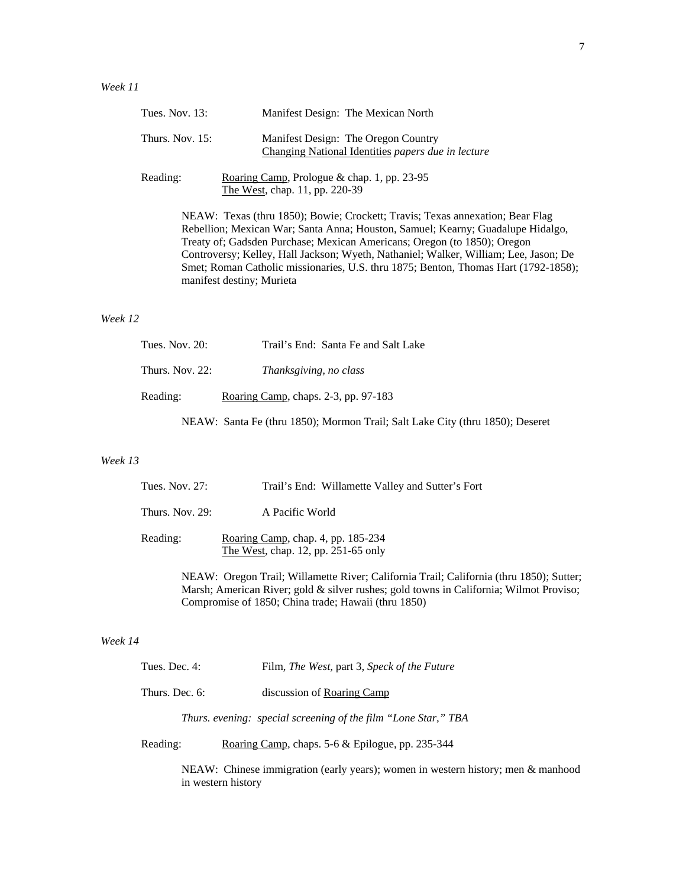|          | Tues. Nov. 13:                                                                                                                                                                                                                                                                                                                                                                                                                                           | Manifest Design: The Mexican North                                                        |
|----------|----------------------------------------------------------------------------------------------------------------------------------------------------------------------------------------------------------------------------------------------------------------------------------------------------------------------------------------------------------------------------------------------------------------------------------------------------------|-------------------------------------------------------------------------------------------|
|          | Thurs. Nov. 15:                                                                                                                                                                                                                                                                                                                                                                                                                                          | Manifest Design: The Oregon Country<br>Changing National Identities papers due in lecture |
| Reading: |                                                                                                                                                                                                                                                                                                                                                                                                                                                          | Roaring Camp, Prologue & chap. 1, pp. 23-95<br>The West, chap. 11, pp. 220-39             |
|          | NEAW: Texas (thru 1850); Bowie; Crockett; Travis; Texas annexation; Bear Flag<br>Rebellion; Mexican War; Santa Anna; Houston, Samuel; Kearny; Guadalupe Hidalgo,<br>Treaty of; Gadsden Purchase; Mexican Americans; Oregon (to 1850); Oregon<br>Controversy; Kelley, Hall Jackson; Wyeth, Nathaniel; Walker, William; Lee, Jason; De<br>Smet; Roman Catholic missionaries, U.S. thru 1875; Benton, Thomas Hart (1792-1858);<br>manifest destiny; Murieta |                                                                                           |
| Week 12  |                                                                                                                                                                                                                                                                                                                                                                                                                                                          |                                                                                           |
|          | Tues. Nov. 20:                                                                                                                                                                                                                                                                                                                                                                                                                                           | Trail's End: Santa Fe and Salt Lake                                                       |
|          | Thurs. Nov. 22:                                                                                                                                                                                                                                                                                                                                                                                                                                          | Thanksgiving, no class                                                                    |
| Reading: |                                                                                                                                                                                                                                                                                                                                                                                                                                                          | Roaring Camp, chaps. 2-3, pp. 97-183                                                      |
|          |                                                                                                                                                                                                                                                                                                                                                                                                                                                          | NEAW: Santa Fe (thru 1850); Mormon Trail; Salt Lake City (thru 1850); Deseret             |

# *Week 13*

| Tues. Nov. $27$ : | Trail's End: Willamette Valley and Sutter's Fort                          |
|-------------------|---------------------------------------------------------------------------|
| Thurs. Nov. $29:$ | A Pacific World                                                           |
| Reading:          | Roaring Camp, chap. 4, pp. 185-234<br>The West, chap. 12, pp. 251-65 only |

NEAW: Oregon Trail; Willamette River; California Trail; California (thru 1850); Sutter; Marsh; American River; gold & silver rushes; gold towns in California; Wilmot Proviso; Compromise of 1850; China trade; Hawaii (thru 1850)

# *Week 14*

| Tues. Dec. 4:  | Film, <i>The West</i> , part 3, <i>Speck of the Future</i>     |
|----------------|----------------------------------------------------------------|
| Thurs. Dec. 6: | discussion of Roaring Camp                                     |
|                | Thurs. evening: special screening of the film "Lone Star," TBA |
| Reading:       | Roaring Camp, chaps. 5-6 & Epilogue, pp. 235-344               |

in western history

NEAW: Chinese immigration (early years); women in western history; men & manhood